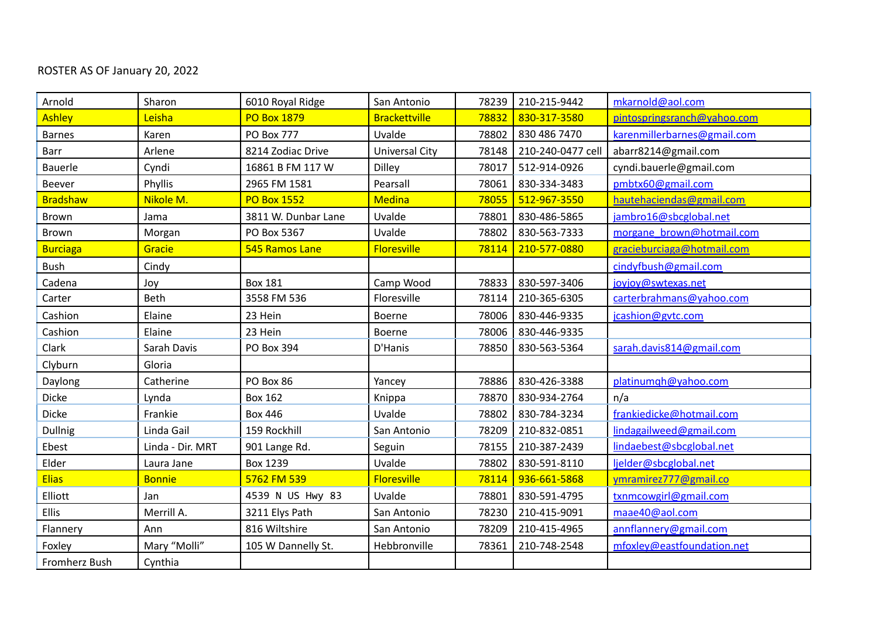## ROSTER AS OF January 20, 2022

| Arnold          | Sharon           | 6010 Royal Ridge    | San Antonio           | 78239 | 210-215-9442      | mkarnold@aol.com            |
|-----------------|------------------|---------------------|-----------------------|-------|-------------------|-----------------------------|
| Ashley          | Leisha           | <b>PO Box 1879</b>  | <b>Brackettville</b>  | 78832 | 830-317-3580      | pintospringsranch@yahoo.com |
| <b>Barnes</b>   | Karen            | <b>PO Box 777</b>   | Uvalde                | 78802 | 830 486 7470      | karenmillerbarnes@gmail.com |
| Barr            | Arlene           | 8214 Zodiac Drive   | <b>Universal City</b> | 78148 | 210-240-0477 cell | abarr8214@gmail.com         |
| <b>Bauerle</b>  | Cyndi            | 16861 B FM 117 W    | <b>Dilley</b>         | 78017 | 512-914-0926      | cyndi.bauerle@gmail.com     |
| Beever          | Phyllis          | 2965 FM 1581        | Pearsall              | 78061 | 830-334-3483      | pmbtx60@gmail.com           |
| <b>Bradshaw</b> | Nikole M.        | <b>PO Box 1552</b>  | Medina                | 78055 | 512-967-3550      | hautehaciendas@gmail.com    |
| Brown           | Jama             | 3811 W. Dunbar Lane | Uvalde                | 78801 | 830-486-5865      | jambro16@sbcglobal.net      |
| Brown           | Morgan           | PO Box 5367         | Uvalde                | 78802 | 830-563-7333      | morgane brown@hotmail.com   |
| <b>Burciaga</b> | Gracie           | 545 Ramos Lane      | <b>Floresville</b>    | 78114 | 210-577-0880      | gracieburciaga@hotmail.com  |
| Bush            | Cindy            |                     |                       |       |                   | cindyfbush@gmail.com        |
| Cadena          | Joy              | <b>Box 181</b>      | Camp Wood             | 78833 | 830-597-3406      | joyjoy@swtexas.net          |
| Carter          | Beth             | 3558 FM 536         | Floresville           | 78114 | 210-365-6305      | carterbrahmans@yahoo.com    |
| Cashion         | Elaine           | 23 Hein             | Boerne                | 78006 | 830-446-9335      | jcashion@gytc.com           |
| Cashion         | Elaine           | 23 Hein             | <b>Boerne</b>         | 78006 | 830-446-9335      |                             |
| Clark           | Sarah Davis      | PO Box 394          | D'Hanis               | 78850 | 830-563-5364      | sarah.davis814@gmail.com    |
| Clyburn         | Gloria           |                     |                       |       |                   |                             |
| Daylong         | Catherine        | PO Box 86           | Yancey                | 78886 | 830-426-3388      | platinumgh@yahoo.com        |
| <b>Dicke</b>    | Lynda            | <b>Box 162</b>      | Knippa                | 78870 | 830-934-2764      | n/a                         |
| <b>Dicke</b>    | Frankie          | <b>Box 446</b>      | Uvalde                | 78802 | 830-784-3234      | frankiedicke@hotmail.com    |
| <b>Dullnig</b>  | Linda Gail       | 159 Rockhill        | San Antonio           | 78209 | 210-832-0851      | lindagailweed@gmail.com     |
| Ebest           | Linda - Dir. MRT | 901 Lange Rd.       | Seguin                | 78155 | 210-387-2439      | lindaebest@sbcglobal.net    |
| Elder           | Laura Jane       | Box 1239            | Uvalde                | 78802 | 830-591-8110      | ljelder@sbcglobal.net       |
| <b>Elias</b>    | <b>Bonnie</b>    | 5762 FM 539         | Floresville           | 78114 | 936-661-5868      | ymramirez777@gmail.co       |
| Elliott         | Jan              | 4539 N US Hwy 83    | Uvalde                | 78801 | 830-591-4795      | txnmcowgirl@gmail.com       |
| <b>Ellis</b>    | Merrill A.       | 3211 Elys Path      | San Antonio           | 78230 | 210-415-9091      | maae40@aol.com              |
| Flannery        | Ann              | 816 Wiltshire       | San Antonio           | 78209 | 210-415-4965      | annflannery@gmail.com       |
| Foxley          | Mary "Molli"     | 105 W Dannelly St.  | Hebbronville          | 78361 | 210-748-2548      | mfoxley@eastfoundation.net  |
| Fromherz Bush   | Cynthia          |                     |                       |       |                   |                             |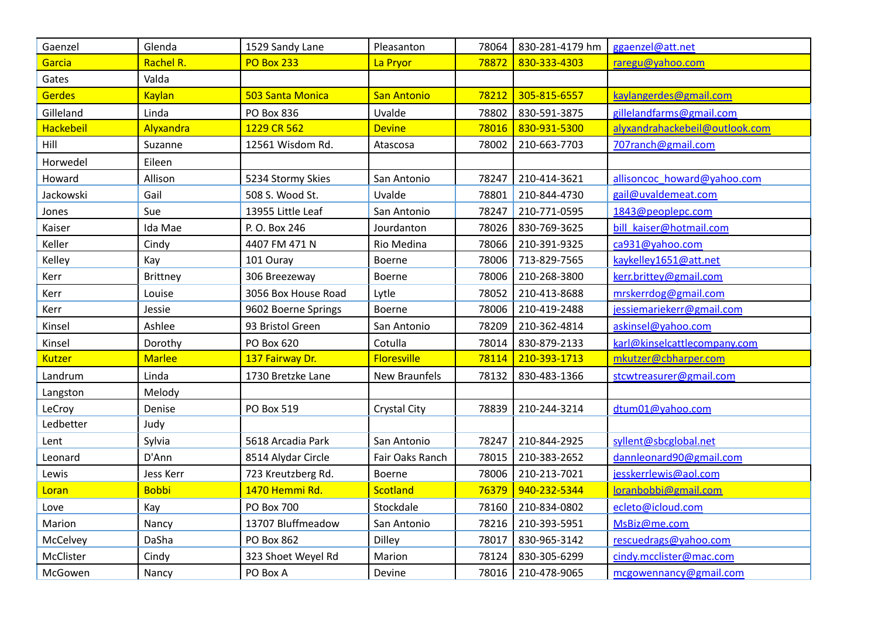| Gaenzel       | Glenda          | 1529 Sandy Lane     | Pleasanton          | 78064 | 830-281-4179 hm | ggaenzel@att.net               |
|---------------|-----------------|---------------------|---------------------|-------|-----------------|--------------------------------|
| Garcia        | Rachel R.       | <b>PO Box 233</b>   | La Pryor            | 78872 | 830-333-4303    | raregu@yahoo.com               |
| Gates         | Valda           |                     |                     |       |                 |                                |
| <b>Gerdes</b> | <b>Kaylan</b>   | 503 Santa Monica    | <b>San Antonio</b>  | 78212 | 305-815-6557    | kaylangerdes@gmail.com         |
| Gilleland     | Linda           | PO Box 836          | Uvalde              | 78802 | 830-591-3875    | gillelandfarms@gmail.com       |
| Hackebeil     | Alyxandra       | 1229 CR 562         | <b>Devine</b>       | 78016 | 830-931-5300    | alyxandrahackebeil@outlook.com |
| Hill          | Suzanne         | 12561 Wisdom Rd.    | Atascosa            | 78002 | 210-663-7703    | 707ranch@gmail.com             |
| Horwedel      | Eileen          |                     |                     |       |                 |                                |
| Howard        | Allison         | 5234 Stormy Skies   | San Antonio         | 78247 | 210-414-3621    | allisoncoc howard@yahoo.com    |
| Jackowski     | Gail            | 508 S. Wood St.     | Uvalde              | 78801 | 210-844-4730    | gail@uvaldemeat.com            |
| Jones         | Sue             | 13955 Little Leaf   | San Antonio         | 78247 | 210-771-0595    | 1843@peoplepc.com              |
| Kaiser        | Ida Mae         | P. O. Box 246       | Jourdanton          | 78026 | 830-769-3625    | bill kaiser@hotmail.com        |
| Keller        | Cindy           | 4407 FM 471 N       | Rio Medina          | 78066 | 210-391-9325    | ca931@yahoo.com                |
| Kelley        | Kay             | 101 Ouray           | <b>Boerne</b>       | 78006 | 713-829-7565    | kaykelley1651@att.net          |
| Kerr          | <b>Brittney</b> | 306 Breezeway       | <b>Boerne</b>       | 78006 | 210-268-3800    | kerr.brittey@gmail.com         |
| Kerr          | Louise          | 3056 Box House Road | Lytle               | 78052 | 210-413-8688    | mrskerrdog@gmail.com           |
| Kerr          | Jessie          | 9602 Boerne Springs | <b>Boerne</b>       | 78006 | 210-419-2488    | jessiemariekerr@gmail.com      |
| Kinsel        | Ashlee          | 93 Bristol Green    | San Antonio         | 78209 | 210-362-4814    | askinsel@vahoo.com             |
| Kinsel        | Dorothy         | PO Box 620          | Cotulla             | 78014 | 830-879-2133    | karl@kinselcattlecompany.com   |
| Kutzer        | <b>Marlee</b>   | 137 Fairway Dr.     | Floresville         | 78114 | 210-393-1713    | mkutzer@cbharper.com           |
| Landrum       | Linda           | 1730 Bretzke Lane   | New Braunfels       | 78132 | 830-483-1366    | stcwtreasurer@gmail.com        |
| Langston      | Melody          |                     |                     |       |                 |                                |
| LeCroy        | Denise          | PO Box 519          | <b>Crystal City</b> | 78839 | 210-244-3214    | dtum01@yahoo.com               |
| Ledbetter     | Judy            |                     |                     |       |                 |                                |
| Lent          | Sylvia          | 5618 Arcadia Park   | San Antonio         | 78247 | 210-844-2925    | syllent@sbcglobal.net          |
| Leonard       | D'Ann           | 8514 Alydar Circle  | Fair Oaks Ranch     | 78015 | 210-383-2652    | dannleonard90@gmail.com        |
| Lewis         | Jess Kerr       | 723 Kreutzberg Rd.  | Boerne              | 78006 | 210-213-7021    | jesskerrlewis@aol.com          |
| Loran         | <b>Bobbi</b>    | 1470 Hemmi Rd.      | Scotland            | 76379 | 940-232-5344    | loranbobbi@gmail.com           |
| Love          | Kay             | <b>PO Box 700</b>   | Stockdale           | 78160 | 210-834-0802    | ecleto@icloud.com              |
| Marion        | Nancy           | 13707 Bluffmeadow   | San Antonio         | 78216 | 210-393-5951    | MsBiz@me.com                   |
| McCelvey      | DaSha           | <b>PO Box 862</b>   | Dilley              | 78017 | 830-965-3142    | rescuedrags@yahoo.com          |
| McClister     | Cindy           | 323 Shoet Weyel Rd  | Marion              | 78124 | 830-305-6299    | cindy.mcclister@mac.com        |
| McGowen       | Nancy           | PO Box A            | Devine              | 78016 | 210-478-9065    | mcgowennancy@gmail.com         |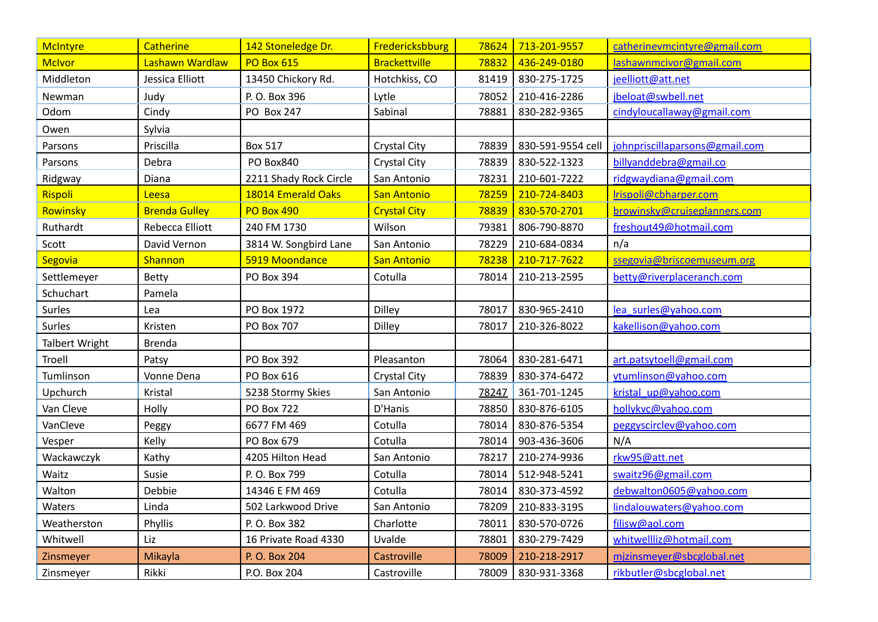| <b>McIntyre</b>       | <b>Catherine</b>     | 142 Stoneledge Dr.     | Fredericksbburg      | 78624 | 713-201-9557      | catherinevmcintyre@gmail.com   |
|-----------------------|----------------------|------------------------|----------------------|-------|-------------------|--------------------------------|
| <b>McIvor</b>         | Lashawn Wardlaw      | <b>PO Box 615</b>      | <b>Brackettville</b> | 78832 | 436-249-0180      | lashawnmcivor@gmail.com        |
| Middleton             | Jessica Elliott      | 13450 Chickory Rd.     | Hotchkiss, CO        | 81419 | 830-275-1725      | jeelliott@att.net              |
| Newman                | Judy                 | P. O. Box 396          | Lytle                | 78052 | 210-416-2286      | jbeloat@swbell.net             |
| Odom                  | Cindy                | PO Box 247             | Sabinal              | 78881 | 830-282-9365      | cindyloucallaway@gmail.com     |
| Owen                  | Sylvia               |                        |                      |       |                   |                                |
| Parsons               | Priscilla            | <b>Box 517</b>         | Crystal City         | 78839 | 830-591-9554 cell | johnpriscillaparsons@gmail.com |
| Parsons               | Debra                | PO Box840              | Crystal City         | 78839 | 830-522-1323      | billyanddebra@gmail.co         |
| Ridgway               | Diana                | 2211 Shady Rock Circle | San Antonio          | 78231 | 210-601-7222      | ridgwaydiana@gmail.com         |
| Rispoli               | Leesa                | 18014 Emerald Oaks     | <b>San Antonio</b>   | 78259 | 210-724-8403      | Irispoli@cbharper.com          |
| Rowinsky              | <b>Brenda Gulley</b> | <b>PO Box 490</b>      | <b>Crystal City</b>  | 78839 | 830-570-2701      | browinsky@cruiseplanners.com   |
| Ruthardt              | Rebecca Elliott      | 240 FM 1730            | Wilson               | 79381 | 806-790-8870      | freshout49@hotmail.com         |
| Scott                 | David Vernon         | 3814 W. Songbird Lane  | San Antonio          | 78229 | 210-684-0834      | n/a                            |
| Segovia               | Shannon              | 5919 Moondance         | <b>San Antonio</b>   | 78238 | 210-717-7622      | ssegovia@briscoemuseum.org     |
| Settlemeyer           | Betty                | PO Box 394             | Cotulla              | 78014 | 210-213-2595      | betty@riverplaceranch.com      |
| Schuchart             | Pamela               |                        |                      |       |                   |                                |
| Surles                | Lea                  | PO Box 1972            | Dilley               | 78017 | 830-965-2410      | lea surles@yahoo.com           |
| Surles                | Kristen              | PO Box 707             | Dilley               | 78017 | 210-326-8022      | kakellison@vahoo.com           |
| <b>Talbert Wright</b> | <b>Brenda</b>        |                        |                      |       |                   |                                |
| Troell                | Patsy                | PO Box 392             | Pleasanton           | 78064 | 830-281-6471      | art.patsytoell@gmail.com       |
| Tumlinson             | Vonne Dena           | PO Box 616             | Crystal City         | 78839 | 830-374-6472      | vtumlinson@yahoo.com           |
| Upchurch              | Kristal              | 5238 Stormy Skies      | San Antonio          | 78247 | 361-701-1245      | kristal up@vahoo.com           |
| Van Cleve             | Holly                | <b>PO Box 722</b>      | D'Hanis              | 78850 | 830-876-6105      | hollykvc@yahoo.com             |
| VanCleve              | Peggy                | 6677 FM 469            | Cotulla              | 78014 | 830-876-5354      | peggyscirclev@yahoo.com        |
| Vesper                | Kelly                | PO Box 679             | Cotulla              | 78014 | 903-436-3606      | N/A                            |
| Wackawczyk            | Kathy                | 4205 Hilton Head       | San Antonio          | 78217 | 210-274-9936      | rkw95@att.net                  |
| Waitz                 | Susie                | P. O. Box 799          | Cotulla              | 78014 | 512-948-5241      | swaitz96@gmail.com             |
| Walton                | Debbie               | 14346 E FM 469         | Cotulla              | 78014 | 830-373-4592      | debwalton0605@yahoo.com        |
| Waters                | Linda                | 502 Larkwood Drive     | San Antonio          | 78209 | 210-833-3195      | lindalouwaters@yahoo.com       |
| Weatherston           | Phyllis              | P. O. Box 382          | Charlotte            | 78011 | 830-570-0726      | filisw@aol.com                 |
| Whitwell              | Liz                  | 16 Private Road 4330   | Uvalde               | 78801 | 830-279-7429      | whitwellliz@hotmail.com        |
| Zinsmeyer             | Mikayla              | P. O. Box 204          | Castroville          | 78009 | 210-218-2917      | mizinsmeyer@sbcglobal.net      |
| Zinsmeyer             | Rikki                | P.O. Box 204           | Castroville          | 78009 | 830-931-3368      | rikbutler@sbcglobal.net        |